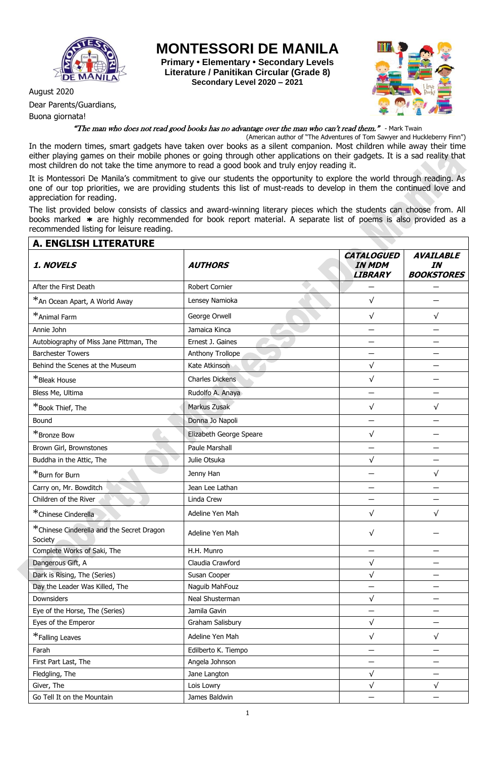

August 2020

Buona giornata!

Dear Parents/Guardians,

**MONTESSORI DE MANILA**

**Primary • Elementary • Secondary Levels Literature / Panitikan Circular (Grade 8) Secondary Level 2020 – 2021**



"The man who does not read good books has no advantage over the man who can't read them." - Mark Twain

(American author of "The Adventures of Tom Sawyer and Huckleberry Finn") In the modern times, smart gadgets have taken over books as a silent companion. Most children while away their time either playing games on their mobile phones or going through other applications on their gadgets. It is a sad reality that most children do not take the time anymore to read a good book and truly enjoy reading it.

It is Montessori De Manila's commitment to give our students the opportunity to explore the world through reading. As one of our top priorities, we are providing students this list of must-reads to develop in them the continued love and appreciation for reading.

The list provided below consists of classics and award-winning literary pieces which the students can choose from. All books marked \* are highly recommended for book report material. A separate list of poems is also provided as a recommended listing for leisure reading.

| <b>A. ENGLISH LITERATURE</b>                          |                         |                                                      |                                             |
|-------------------------------------------------------|-------------------------|------------------------------------------------------|---------------------------------------------|
| 1. NOVELS                                             | <b>AUTHORS</b>          | <b>CATALOGUED</b><br><b>IN MDM</b><br><b>LIBRARY</b> | <b>AVAILABLE</b><br>IN<br><b>BOOKSTORES</b> |
| After the First Death                                 | Robert Cornier          |                                                      |                                             |
| *An Ocean Apart, A World Away                         | Lensey Namioka          | $\sqrt{}$                                            |                                             |
| *Animal Farm                                          | George Orwell           | $\sqrt{}$                                            | √                                           |
| Annie John                                            | Jamaica Kinca           |                                                      |                                             |
| Autobiography of Miss Jane Pittman, The               | Ernest J. Gaines        |                                                      |                                             |
| <b>Barchester Towers</b>                              | Anthony Trollope        |                                                      |                                             |
| Behind the Scenes at the Museum                       | Kate Atkinson           | $\sqrt{}$                                            |                                             |
| *Bleak House                                          | <b>Charles Dickens</b>  | $\sqrt{}$                                            |                                             |
| Bless Me, Ultima                                      | Rudolfo A. Anaya        |                                                      |                                             |
| *Book Thief, The                                      | Markus Zusak            | $\sqrt{}$                                            | $\sqrt{}$                                   |
| Bound                                                 | Donna Jo Napoli         |                                                      |                                             |
| *Bronze Bow                                           | Elizabeth George Speare | $\sqrt{}$                                            |                                             |
| Brown Girl, Brownstones                               | Paule Marshall          |                                                      |                                             |
| Buddha in the Attic, The                              | Julie Otsuka            | $\sqrt{}$                                            |                                             |
| *Burn for Burn                                        | Jenny Han               |                                                      | $\sqrt{}$                                   |
| Carry on, Mr. Bowditch                                | Jean Lee Lathan         |                                                      |                                             |
| Children of the River                                 | Linda Crew              |                                                      |                                             |
| *Chinese Cinderella                                   | Adeline Yen Mah         | $\sqrt{}$                                            | $\sqrt{}$                                   |
| * Chinese Cinderella and the Secret Dragon<br>Society | Adeline Yen Mah         | $\sqrt{}$                                            |                                             |
| Complete Works of Saki, The                           | H.H. Munro              | —                                                    |                                             |
| Dangerous Gift, A                                     | Claudia Crawford        | $\sqrt{}$                                            |                                             |
| Dark is Rising, The (Series)                          | Susan Cooper            | $\sqrt{}$                                            |                                             |
| Day the Leader Was Killed, The                        | Naguib MahFouz          |                                                      |                                             |
| Downsiders                                            | Neal Shusterman         | $\sqrt{}$                                            |                                             |
| Eye of the Horse, The (Series)                        | Jamila Gavin            |                                                      |                                             |
| Eyes of the Emperor                                   | Graham Salisbury        | $\sqrt{ }$                                           |                                             |
| *Falling Leaves                                       | Adeline Yen Mah         | $\sqrt{ }$                                           | $\sqrt{}$                                   |
| Farah                                                 | Edilberto K. Tiempo     |                                                      |                                             |
| First Part Last, The                                  | Angela Johnson          |                                                      |                                             |
| Fledgling, The                                        | Jane Langton            | $\sqrt{}$                                            |                                             |
| Giver, The                                            | Lois Lowry              | $\sqrt{}$                                            | $\sqrt{}$                                   |
| Go Tell It on the Mountain                            | James Baldwin           |                                                      |                                             |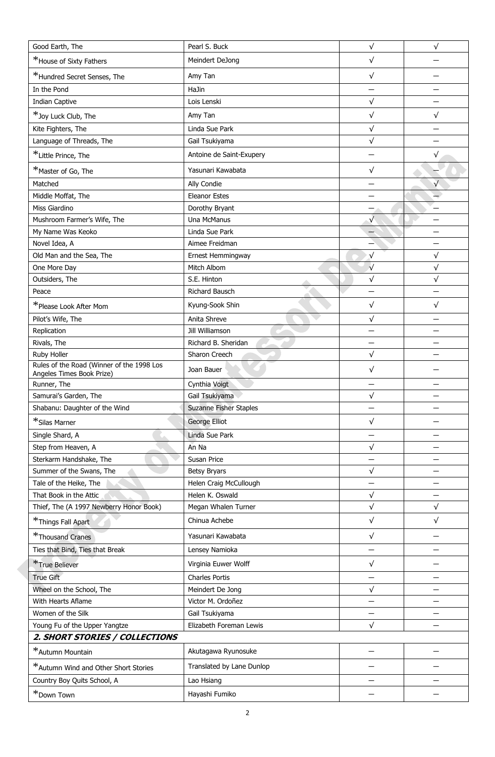| Good Earth, The                                                        | Pearl S. Buck                 | $\sqrt{}$  | $\sqrt{}$                |  |
|------------------------------------------------------------------------|-------------------------------|------------|--------------------------|--|
| *House of Sixty Fathers                                                | Meindert DeJong               | $\sqrt{}$  |                          |  |
| *Hundred Secret Senses, The                                            | Amy Tan                       | $\sqrt{}$  |                          |  |
| In the Pond                                                            | HaJin                         |            |                          |  |
| Indian Captive                                                         | Lois Lenski                   | $\sqrt{}$  |                          |  |
| *Joy Luck Club, The                                                    | Amy Tan                       | $\sqrt{}$  | $\sqrt{}$                |  |
| Kite Fighters, The                                                     | Linda Sue Park                | $\sqrt{}$  |                          |  |
| Language of Threads, The                                               | Gail Tsukiyama                | $\sqrt{}$  |                          |  |
| *Little Prince, The                                                    | Antoine de Saint-Exupery      |            | $\sqrt{}$                |  |
| *Master of Go, The                                                     | Yasunari Kawabata             | $\sqrt{}$  |                          |  |
| Matched                                                                | Ally Condie                   |            | $\sqrt{}$                |  |
| Middle Moffat, The                                                     | <b>Eleanor Estes</b>          |            |                          |  |
| Miss Giardino                                                          | Dorothy Bryant                |            |                          |  |
| Mushroom Farmer's Wife, The                                            | Una McManus                   | $\sqrt{}$  |                          |  |
| My Name Was Keoko                                                      | Linda Sue Park                |            |                          |  |
| Novel Idea, A                                                          | Aimee Freidman                |            | $\overline{\phantom{0}}$ |  |
| Old Man and the Sea, The                                               | Ernest Hemmingway             | $\sqrt{ }$ | $\sqrt{}$                |  |
| One More Day                                                           | Mitch Albom                   | $\sqrt{ }$ | √                        |  |
| Outsiders, The                                                         | S.E. Hinton                   | $\sqrt{}$  | $\sqrt{}$                |  |
| Peace                                                                  | Richard Bausch                |            |                          |  |
| *Please Look After Mom                                                 | Kyung-Sook Shin               | $\sqrt{}$  | √                        |  |
| Pilot's Wife, The                                                      | Anita Shreve                  | $\sqrt{}$  |                          |  |
| Replication                                                            | Jill Williamson               |            |                          |  |
| Rivals, The                                                            | Richard B. Sheridan           |            |                          |  |
| Ruby Holler                                                            | Sharon Creech                 | $\sqrt{}$  |                          |  |
| Rules of the Road (Winner of the 1998 Los<br>Angeles Times Book Prize) | Joan Bauer                    | $\sqrt{}$  |                          |  |
| Runner, The                                                            | Cynthia Voigt                 |            |                          |  |
| Samurai's Garden, The                                                  | Gail Tsukiyama                | $\sqrt{}$  |                          |  |
| Shabanu: Daughter of the Wind                                          | <b>Suzanne Fisher Staples</b> |            |                          |  |
| *Silas Marner                                                          | George Elliot                 | $\sqrt{}$  |                          |  |
| Single Shard, A                                                        | Linda Sue Park                |            | $\overline{\phantom{0}}$ |  |
| Step from Heaven, A                                                    | An Na                         | $\sqrt{}$  |                          |  |
| Sterkarm Handshake, The                                                | Susan Price                   |            |                          |  |
| Summer of the Swans, The                                               | <b>Betsy Bryars</b>           | $\sqrt{ }$ |                          |  |
| Tale of the Heike, The                                                 | Helen Craig McCullough        | —          |                          |  |
| That Book in the Attic                                                 | Helen K. Oswald               | $\sqrt{ }$ |                          |  |
| Thief, The (A 1997 Newberry Honor Book)                                | Megan Whalen Turner           | $\sqrt{}$  | $\sqrt{}$                |  |
| *Things Fall Apart                                                     | Chinua Achebe                 | $\sqrt{}$  | $\sqrt{}$                |  |
| *Thousand Cranes                                                       | Yasunari Kawabata             | $\sqrt{}$  |                          |  |
| Ties that Bind, Ties that Break                                        | Lensey Namioka                |            |                          |  |
| *True Believer                                                         | Virginia Euwer Wolff          | $\sqrt{}$  |                          |  |
| True Gift                                                              | <b>Charles Portis</b>         |            |                          |  |
| Wheel on the School, The                                               | Meindert De Jong              | $\sqrt{}$  |                          |  |
| With Hearts Aflame                                                     | Victor M. Ordoñez             |            |                          |  |
| Women of the Silk                                                      | Gail Tsukiyama                |            |                          |  |
| Young Fu of the Upper Yangtze                                          | Elizabeth Foreman Lewis       | $\sqrt{}$  |                          |  |
| 2. SHORT STORIES / COLLECTIONS                                         |                               |            |                          |  |
| *Autumn Mountain                                                       | Akutagawa Ryunosuke           |            |                          |  |
| *Autumn Wind and Other Short Stories                                   | Translated by Lane Dunlop     |            |                          |  |
| Country Boy Quits School, A                                            | Lao Hsiang                    |            |                          |  |
| *Down Town                                                             | Hayashi Fumiko                |            |                          |  |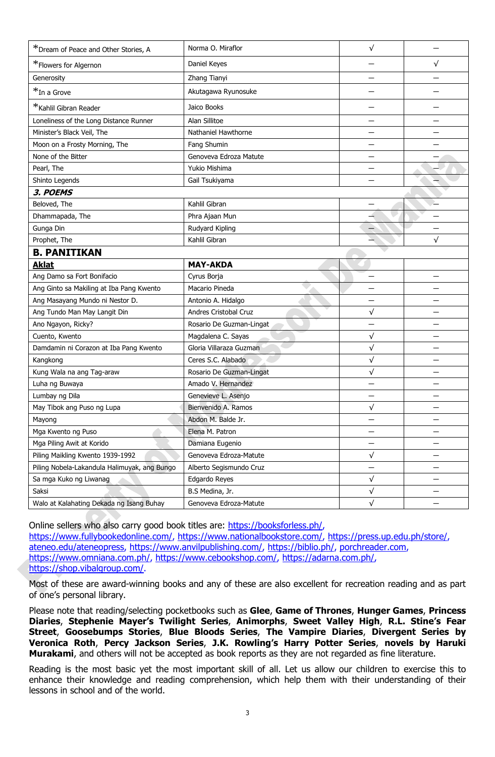| *Dream of Peace and Other Stories, A         | Norma O. Miraflor            | $\sqrt{}$    |           |
|----------------------------------------------|------------------------------|--------------|-----------|
| *Flowers for Algernon                        | Daniel Keyes                 |              | √         |
| Generosity                                   | Zhang Tianyi                 |              |           |
| *In a Grove                                  | Akutagawa Ryunosuke          |              |           |
| *Kahlil Gibran Reader                        | Jaico Books                  |              |           |
| Loneliness of the Long Distance Runner       | Alan Sillitoe                |              |           |
| Minister's Black Veil, The                   | Nathaniel Hawthorne          |              |           |
| Moon on a Frosty Morning, The                | Fang Shumin                  |              |           |
| None of the Bitter                           | Genoveva Edroza Matute       |              |           |
| Pearl, The                                   | Yukio Mishima                |              |           |
| Shinto Legends                               | Gail Tsukiyama               |              |           |
| 3. POEMS                                     |                              |              |           |
| Beloved, The                                 | Kahlil Gibran                |              |           |
| Dhammapada, The                              | Phra Ajaan Mun               |              |           |
| Gunga Din                                    | Rudyard Kipling              |              |           |
| Prophet, The                                 | Kahlil Gibran                |              | $\sqrt{}$ |
| <b>B. PANITIKAN</b>                          |                              |              |           |
| <b>Aklat</b>                                 | <b>MAY-AKDA</b>              |              |           |
| Ang Damo sa Fort Bonifacio                   | Cyrus Borja                  |              |           |
| Ang Ginto sa Makiling at Iba Pang Kwento     | Macario Pineda               |              |           |
| Ang Masayang Mundo ni Nestor D.              | Antonio A. Hidalgo           |              |           |
| Ang Tundo Man May Langit Din                 | <b>Andres Cristobal Cruz</b> | $\sqrt{}$    |           |
| Ano Ngayon, Ricky?                           | Rosario De Guzman-Lingat     |              |           |
| Cuento, Kwento                               | Magdalena C. Sayas           | $\sqrt{}$    |           |
| Damdamin ni Corazon at Iba Pang Kwento       | Gloria Villaraza Guzman      | $\sqrt{}$    |           |
| Kangkong                                     | Ceres S.C. Alabado           | $\sqrt{}$    |           |
| Kung Wala na ang Tag-araw                    | Rosario De Guzman-Lingat     | $\checkmark$ |           |
| Luha ng Buwaya                               | Amado V. Hernandez           |              |           |
| Lumbay ng Dila                               | Genevieve L. Asenjo          |              |           |
| May Tibok ang Puso ng Lupa                   | Bienvenido A. Ramos          | $\sqrt{}$    |           |
| Mayong                                       | Abdon M. Balde Jr.           |              |           |
| Mga Kwento ng Puso                           | Elena M. Patron              |              |           |
| Mga Piling Awit at Korido                    | Damiana Eugenio              |              |           |
| Piling Maikling Kwento 1939-1992             | Genoveva Edroza-Matute       | $\sqrt{}$    | —         |
| Piling Nobela-Lakandula Halimuyak, ang Bungo | Alberto Segismundo Cruz      |              |           |
| Sa mga Kuko ng Liwanag                       | Edgardo Reyes                | $\sqrt{}$    |           |
| Saksi                                        | B.S Medina, Jr.              | $\checkmark$ |           |
| Walo at Kalahating Dekada ng Isang Buhay     | Genoveva Edroza-Matute       | $\checkmark$ |           |

Online sellers who also carry good book titles are: [https://booksforless.ph/,](https://booksforless.ph/) [https://www.fullybookedonline.com/,](https://www.fullybookedonline.com/) [https://www.nationalbookstore.com/,](https://www.nationalbookstore.com/) [https://press.up.edu.ph/store/,](https://press.up.edu.ph/store/) [ateneo.edu/ateneopress,](http://ateneo.edu/ateneopress) [https://www.anvilpublishing.com/,](https://www.anvilpublishing.com/) [https://biblio.ph/,](https://biblio.ph/) [porchreader.com,](http://porchreader.com/) [https://www.omniana.com.ph/,](https://www.omniana.com.ph/) [https://www.cebookshop.com/,](https://www.cebookshop.com/) [https://adarna.com.ph/,](https://adarna.com.ph/) [https://shop.vibalgroup.com/.](https://shop.vibalgroup.com/)

Most of these are award-winning books and any of these are also excellent for recreation reading and as part of one's personal library.

Please note that reading/selecting pocketbooks such as **Glee**, **Game of Thrones**, **Hunger Games**, **Princess Diaries**, **Stephenie Mayer's Twilight Series**, **Animorphs**, **Sweet Valley High**, **R.L. Stine's Fear Street**, **Goosebumps Stories**, **Blue Bloods Series**, **The Vampire Diaries**, **Divergent Series by Veronica Roth**, **Percy Jackson Series**, **J.K. Rowling's Harry Potter Series**, **novels by Haruki Murakami**, and others will not be accepted as book reports as they are not regarded as fine literature.

Reading is the most basic yet the most important skill of all. Let us allow our children to exercise this to enhance their knowledge and reading comprehension, which help them with their understanding of their lessons in school and of the world.